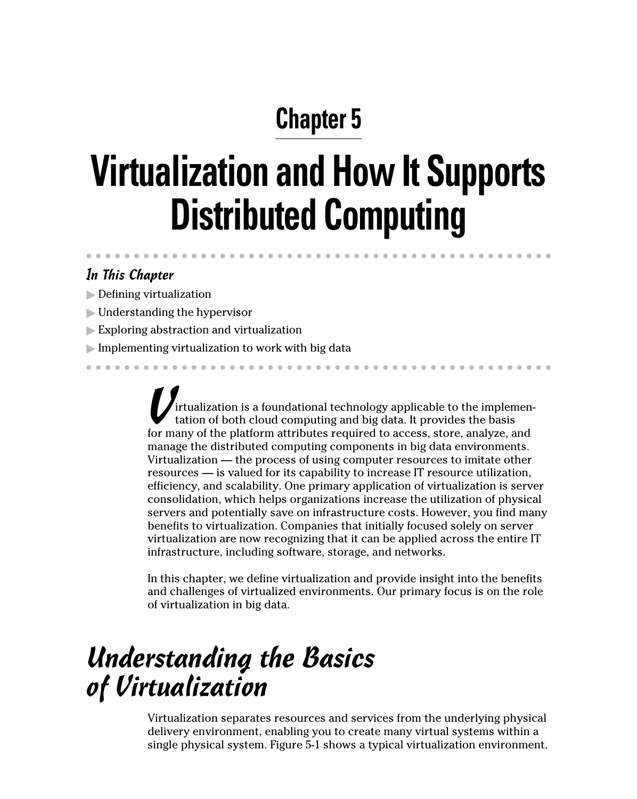# **Chapter 5**

# **Virtualization and How It Supports Distributed Computing**

#### In This Chapter

- ▶ Defining virtualization
- ▶ Understanding the hypervisor
- **Exploring abstraction and virtualization**
- $\triangleright$  Implementing virtualization to work with big data

I irtualization is a foundational technology applicable to the implementation of both cloud computing and big data. It provides the basis for many of the platform attributes required to access, store, analyze, and manage the distributed computing components in big data environments. Virtualization — the process of using computer resources to imitate other resources — is valued for its capability to increase IT resource utilization, efficiency, and scalability. One primary application of virtualization is server consolidation, which helps organizations increase the utilization of physical servers and potentially save on infrastructure costs. However, you find many benefits to virtualization. Companies that initially focused solely on server virtualization are now recognizing that it can be applied across the entire IT infrastructure, including software, storage, and networks.

In this chapter, we define virtualization and provide insight into the benefits and challenges of virtualized environments. Our primary focus is on the role of virtualization in big data.

# Understanding the Basics of Virtualization

Virtualization separates resources and services from the underlying physical delivery environment, enabling you to create many virtual systems within a single physical system. Figure 5-1 shows a typical virtualization environment.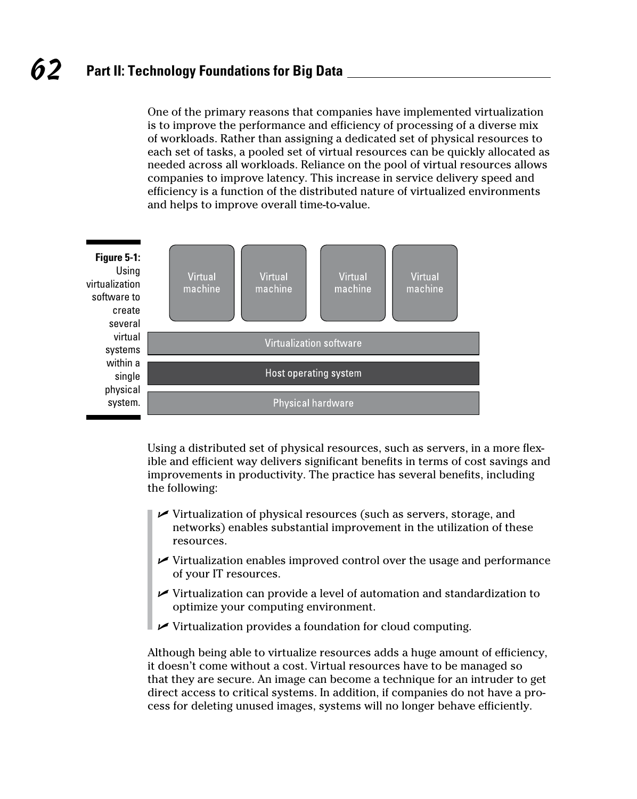One of the primary reasons that companies have implemented virtualization is to improve the performance and efficiency of processing of a diverse mix of workloads. Rather than assigning a dedicated set of physical resources to each set of tasks, a pooled set of virtual resources can be quickly allocated as needed across all workloads. Reliance on the pool of virtual resources allows companies to improve latency. This increase in service delivery speed and efficiency is a function of the distributed nature of virtualized environments and helps to improve overall time-to-value.



Using a distributed set of physical resources, such as servers, in a more flexible and efficient way delivers significant benefits in terms of cost savings and improvements in productivity. The practice has several benefits, including the following:

- $\triangleright$  Virtualization of physical resources (such as servers, storage, and networks) enables substantial improvement in the utilization of these resources.
- ✓ Virtualization enables improved control over the usage and performance of your IT resources.
- ✓ Virtualization can provide a level of automation and standardization to optimize your computing environment.
- ✓ Virtualization provides a foundation for cloud computing.

Although being able to virtualize resources adds a huge amount of efficiency, it doesn't come without a cost. Virtual resources have to be managed so that they are secure. An image can become a technique for an intruder to get direct access to critical systems. In addition, if companies do not have a process for deleting unused images, systems will no longer behave efficiently.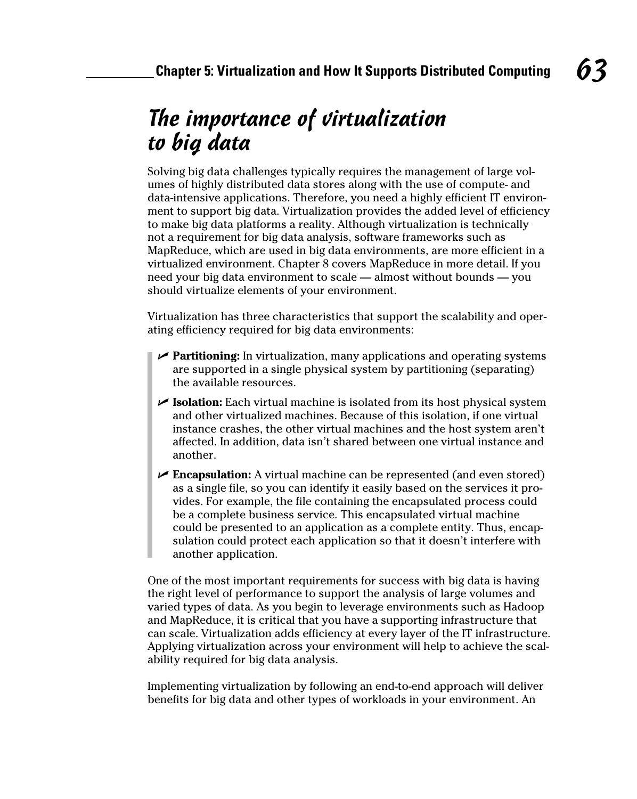#### The importance of virtualization to big data

Solving big data challenges typically requires the management of large volumes of highly distributed data stores along with the use of compute- and data-intensive applications. Therefore, you need a highly efficient IT environment to support big data. Virtualization provides the added level of efficiency to make big data platforms a reality. Although virtualization is technically not a requirement for big data analysis, software frameworks such as MapReduce, which are used in big data environments, are more efficient in a virtualized environment. Chapter 8 covers MapReduce in more detail. If you need your big data environment to scale — almost without bounds — you should virtualize elements of your environment.

Virtualization has three characteristics that support the scalability and operating efficiency required for big data environments:

- ✓ **Partitioning:** In virtualization, many applications and operating systems are supported in a single physical system by partitioning (separating) the available resources.
- ✓ **Isolation:** Each virtual machine is isolated from its host physical system and other virtualized machines. Because of this isolation, if one virtual instance crashes, the other virtual machines and the host system aren't affected. In addition, data isn't shared between one virtual instance and another.
- ✓ **Encapsulation:** A virtual machine can be represented (and even stored) as a single file, so you can identify it easily based on the services it provides. For example, the file containing the encapsulated process could be a complete business service. This encapsulated virtual machine could be presented to an application as a complete entity. Thus, encapsulation could protect each application so that it doesn't interfere with another application.

One of the most important requirements for success with big data is having the right level of performance to support the analysis of large volumes and varied types of data. As you begin to leverage environments such as Hadoop and MapReduce, it is critical that you have a supporting infrastructure that can scale. Virtualization adds efficiency at every layer of the IT infrastructure. Applying virtualization across your environment will help to achieve the scalability required for big data analysis.

Implementing virtualization by following an end-to-end approach will deliver benefits for big data and other types of workloads in your environment. An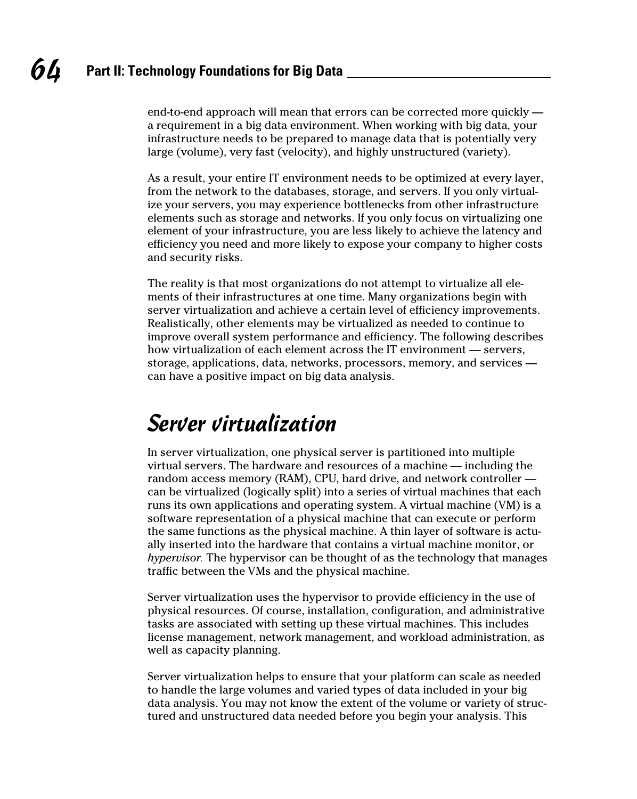end-to-end approach will mean that errors can be corrected more quickly a requirement in a big data environment. When working with big data, your infrastructure needs to be prepared to manage data that is potentially very large (volume), very fast (velocity), and highly unstructured (variety).

As a result, your entire IT environment needs to be optimized at every layer, from the network to the databases, storage, and servers. If you only virtualize your servers, you may experience bottlenecks from other infrastructure elements such as storage and networks. If you only focus on virtualizing one element of your infrastructure, you are less likely to achieve the latency and efficiency you need and more likely to expose your company to higher costs and security risks.

The reality is that most organizations do not attempt to virtualize all elements of their infrastructures at one time. Many organizations begin with server virtualization and achieve a certain level of efficiency improvements. Realistically, other elements may be virtualized as needed to continue to improve overall system performance and efficiency. The following describes how virtualization of each element across the IT environment — servers, storage, applications, data, networks, processors, memory, and services can have a positive impact on big data analysis.

#### Server virtualization

In server virtualization, one physical server is partitioned into multiple virtual servers. The hardware and resources of a machine — including the random access memory (RAM), CPU, hard drive, and network controller can be virtualized (logically split) into a series of virtual machines that each runs its own applications and operating system. A virtual machine (VM) is a software representation of a physical machine that can execute or perform the same functions as the physical machine. A thin layer of software is actually inserted into the hardware that contains a virtual machine monitor, or *hypervisor.* The hypervisor can be thought of as the technology that manages traffic between the VMs and the physical machine.

Server virtualization uses the hypervisor to provide efficiency in the use of physical resources. Of course, installation, configuration, and administrative tasks are associated with setting up these virtual machines. This includes license management, network management, and workload administration, as well as capacity planning.

Server virtualization helps to ensure that your platform can scale as needed to handle the large volumes and varied types of data included in your big data analysis. You may not know the extent of the volume or variety of structured and unstructured data needed before you begin your analysis. This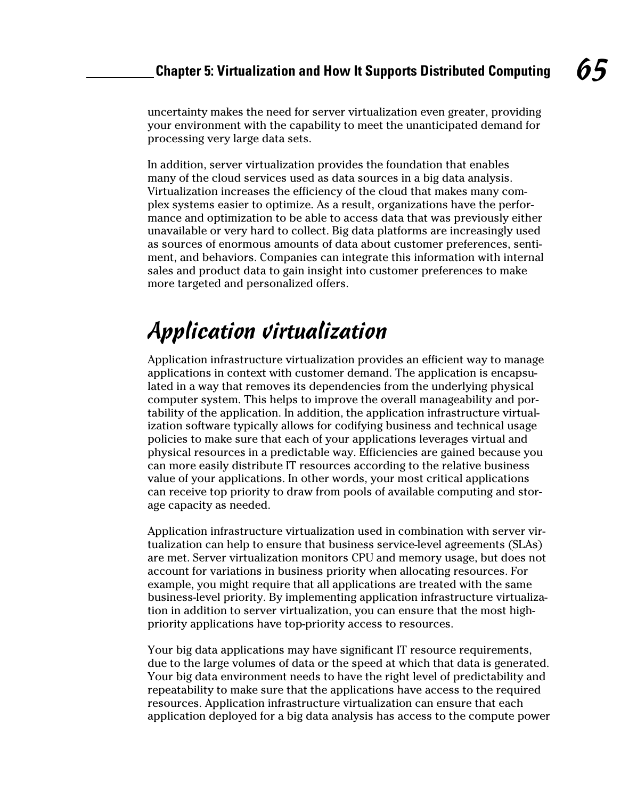uncertainty makes the need for server virtualization even greater, providing your environment with the capability to meet the unanticipated demand for processing very large data sets.

In addition, server virtualization provides the foundation that enables many of the cloud services used as data sources in a big data analysis. Virtualization increases the efficiency of the cloud that makes many complex systems easier to optimize. As a result, organizations have the performance and optimization to be able to access data that was previously either unavailable or very hard to collect. Big data platforms are increasingly used as sources of enormous amounts of data about customer preferences, sentiment, and behaviors. Companies can integrate this information with internal sales and product data to gain insight into customer preferences to make more targeted and personalized offers.

### Application virtualization

Application infrastructure virtualization provides an efficient way to manage applications in context with customer demand. The application is encapsulated in a way that removes its dependencies from the underlying physical computer system. This helps to improve the overall manageability and portability of the application. In addition, the application infrastructure virtualization software typically allows for codifying business and technical usage policies to make sure that each of your applications leverages virtual and physical resources in a predictable way. Efficiencies are gained because you can more easily distribute IT resources according to the relative business value of your applications. In other words, your most critical applications can receive top priority to draw from pools of available computing and storage capacity as needed.

Application infrastructure virtualization used in combination with server virtualization can help to ensure that business service-level agreements (SLAs) are met. Server virtualization monitors CPU and memory usage, but does not account for variations in business priority when allocating resources. For example, you might require that all applications are treated with the same business-level priority. By implementing application infrastructure virtualization in addition to server virtualization, you can ensure that the most highpriority applications have top-priority access to resources.

Your big data applications may have significant IT resource requirements, due to the large volumes of data or the speed at which that data is generated. Your big data environment needs to have the right level of predictability and repeatability to make sure that the applications have access to the required resources. Application infrastructure virtualization can ensure that each application deployed for a big data analysis has access to the compute power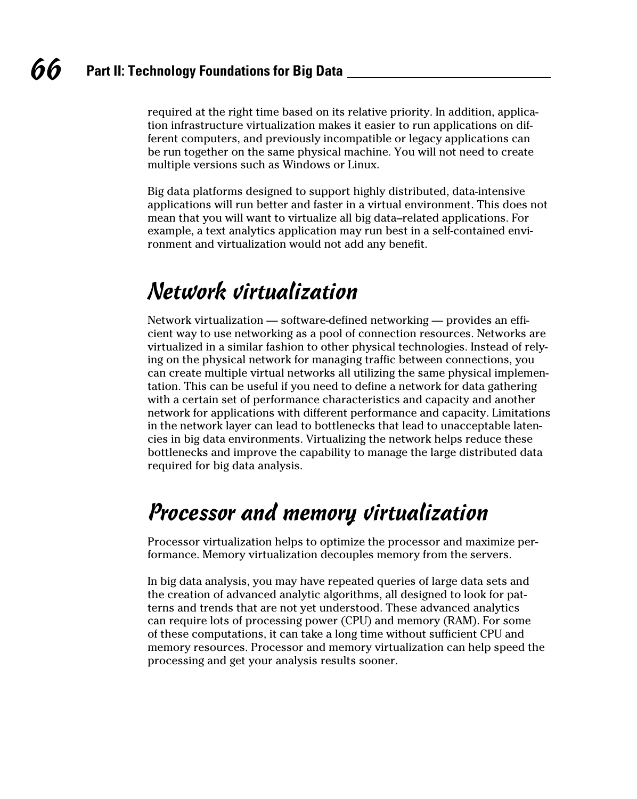required at the right time based on its relative priority. In addition, application infrastructure virtualization makes it easier to run applications on different computers, and previously incompatible or legacy applications can be run together on the same physical machine. You will not need to create multiple versions such as Windows or Linux.

Big data platforms designed to support highly distributed, data-intensive applications will run better and faster in a virtual environment. This does not mean that you will want to virtualize all big data–related applications. For example, a text analytics application may run best in a self-contained environment and virtualization would not add any benefit.

#### Network virtualization

Network virtualization — software-defined networking — provides an efficient way to use networking as a pool of connection resources. Networks are virtualized in a similar fashion to other physical technologies. Instead of relying on the physical network for managing traffic between connections, you can create multiple virtual networks all utilizing the same physical implementation. This can be useful if you need to define a network for data gathering with a certain set of performance characteristics and capacity and another network for applications with different performance and capacity. Limitations in the network layer can lead to bottlenecks that lead to unacceptable latencies in big data environments. Virtualizing the network helps reduce these bottlenecks and improve the capability to manage the large distributed data required for big data analysis.

#### Processor and memory virtualization

Processor virtualization helps to optimize the processor and maximize performance. Memory virtualization decouples memory from the servers.

In big data analysis, you may have repeated queries of large data sets and the creation of advanced analytic algorithms, all designed to look for patterns and trends that are not yet understood. These advanced analytics can require lots of processing power (CPU) and memory (RAM). For some of these computations, it can take a long time without sufficient CPU and memory resources. Processor and memory virtualization can help speed the processing and get your analysis results sooner.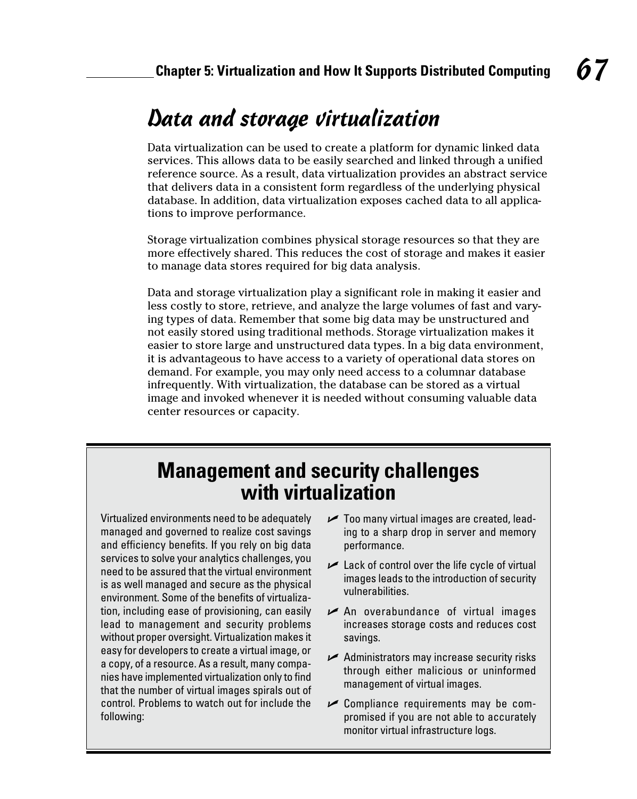### Data and storage virtualization

Data virtualization can be used to create a platform for dynamic linked data services. This allows data to be easily searched and linked through a unified reference source. As a result, data virtualization provides an abstract service that delivers data in a consistent form regardless of the underlying physical database. In addition, data virtualization exposes cached data to all applications to improve performance.

Storage virtualization combines physical storage resources so that they are more effectively shared. This reduces the cost of storage and makes it easier to manage data stores required for big data analysis.

Data and storage virtualization play a significant role in making it easier and less costly to store, retrieve, and analyze the large volumes of fast and varying types of data. Remember that some big data may be unstructured and not easily stored using traditional methods. Storage virtualization makes it easier to store large and unstructured data types. In a big data environment, it is advantageous to have access to a variety of operational data stores on demand. For example, you may only need access to a columnar database infrequently. With virtualization, the database can be stored as a virtual image and invoked whenever it is needed without consuming valuable data center resources or capacity.

#### **Management and security challenges with virtualization**

Virtualized environments need to be adequately managed and governed to realize cost savings and efficiency benefits. If you rely on big data services to solve your analytics challenges, you need to be assured that the virtual environment is as well managed and secure as the physical environment. Some of the benefits of virtualization, including ease of provisioning, can easily lead to management and security problems without proper oversight. Virtualization makes it easy for developers to create a virtual image, or a copy, of a resource. As a result, many companies have implemented virtualization only to find that the number of virtual images spirals out of control. Problems to watch out for include the following:

- $\triangleright$  Too many virtual images are created, leading to a sharp drop in server and memory performance.
- $\triangleright$  Lack of control over the life cycle of virtual images leads to the introduction of security vulnerabilities.
- $\sqrt{\phantom{a}}$  An overabundance of virtual images increases storage costs and reduces cost savings.
- $\triangleright$  Administrators may increase security risks through either malicious or uninformed management of virtual images.
- $\triangleright$  Compliance requirements may be compromised if you are not able to accurately monitor virtual infrastructure logs.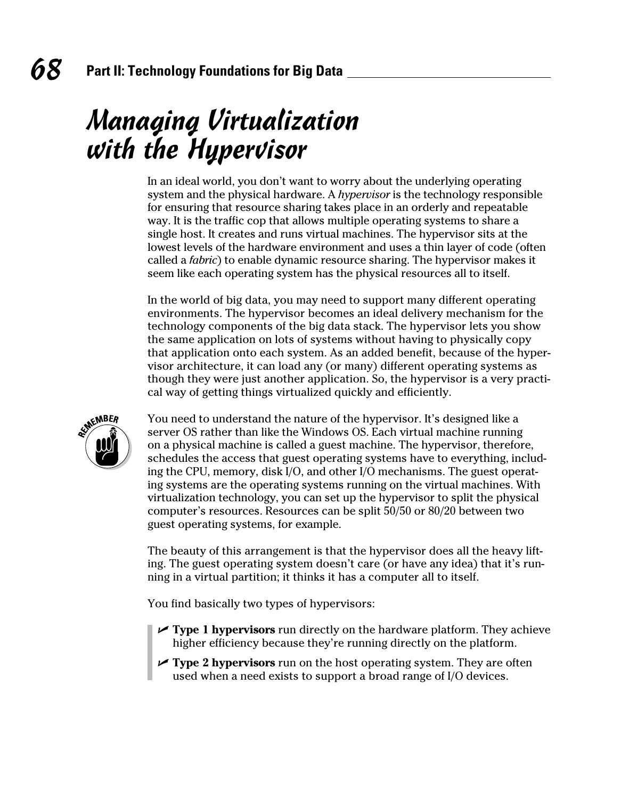# Managing Virtualization with the Hypervisor

In an ideal world, you don't want to worry about the underlying operating system and the physical hardware. A *hypervisor* is the technology responsible for ensuring that resource sharing takes place in an orderly and repeatable way. It is the traffic cop that allows multiple operating systems to share a single host. It creates and runs virtual machines. The hypervisor sits at the lowest levels of the hardware environment and uses a thin layer of code (often called a *fabric*) to enable dynamic resource sharing. The hypervisor makes it seem like each operating system has the physical resources all to itself.

In the world of big data, you may need to support many different operating environments. The hypervisor becomes an ideal delivery mechanism for the technology components of the big data stack. The hypervisor lets you show the same application on lots of systems without having to physically copy that application onto each system. As an added benefit, because of the hypervisor architecture, it can load any (or many) different operating systems as though they were just another application. So, the hypervisor is a very practical way of getting things virtualized quickly and efficiently.



You need to understand the nature of the hypervisor. It's designed like a server OS rather than like the Windows OS. Each virtual machine running on a physical machine is called a guest machine. The hypervisor, therefore, schedules the access that guest operating systems have to everything, including the CPU, memory, disk I/O, and other I/O mechanisms. The guest operating systems are the operating systems running on the virtual machines. With virtualization technology, you can set up the hypervisor to split the physical computer's resources. Resources can be split 50/50 or 80/20 between two guest operating systems, for example.

The beauty of this arrangement is that the hypervisor does all the heavy lifting. The guest operating system doesn't care (or have any idea) that it's running in a virtual partition; it thinks it has a computer all to itself.

You find basically two types of hypervisors:

- ✓ **Type 1 hypervisors** run directly on the hardware platform. They achieve higher efficiency because they're running directly on the platform.
- ✓ **Type 2 hypervisors** run on the host operating system. They are often used when a need exists to support a broad range of I/O devices.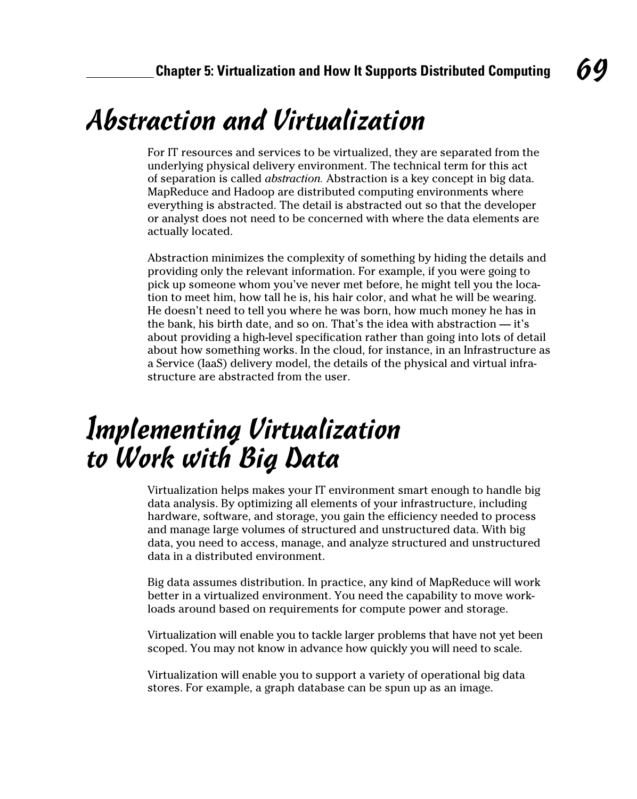# Abstraction and Virtualization

For IT resources and services to be virtualized, they are separated from the underlying physical delivery environment. The technical term for this act of separation is called *abstraction.* Abstraction is a key concept in big data. MapReduce and Hadoop are distributed computing environments where everything is abstracted. The detail is abstracted out so that the developer or analyst does not need to be concerned with where the data elements are actually located.

Abstraction minimizes the complexity of something by hiding the details and providing only the relevant information. For example, if you were going to pick up someone whom you've never met before, he might tell you the location to meet him, how tall he is, his hair color, and what he will be wearing. He doesn't need to tell you where he was born, how much money he has in the bank, his birth date, and so on. That's the idea with abstraction — it's about providing a high-level specification rather than going into lots of detail about how something works. In the cloud, for instance, in an Infrastructure as a Service (IaaS) delivery model, the details of the physical and virtual infrastructure are abstracted from the user.

## Implementing Virtualization to Work with Big Data

Virtualization helps makes your IT environment smart enough to handle big data analysis. By optimizing all elements of your infrastructure, including hardware, software, and storage, you gain the efficiency needed to process and manage large volumes of structured and unstructured data. With big data, you need to access, manage, and analyze structured and unstructured data in a distributed environment.

Big data assumes distribution. In practice, any kind of MapReduce will work better in a virtualized environment. You need the capability to move workloads around based on requirements for compute power and storage.

Virtualization will enable you to tackle larger problems that have not yet been scoped. You may not know in advance how quickly you will need to scale.

Virtualization will enable you to support a variety of operational big data stores. For example, a graph database can be spun up as an image.